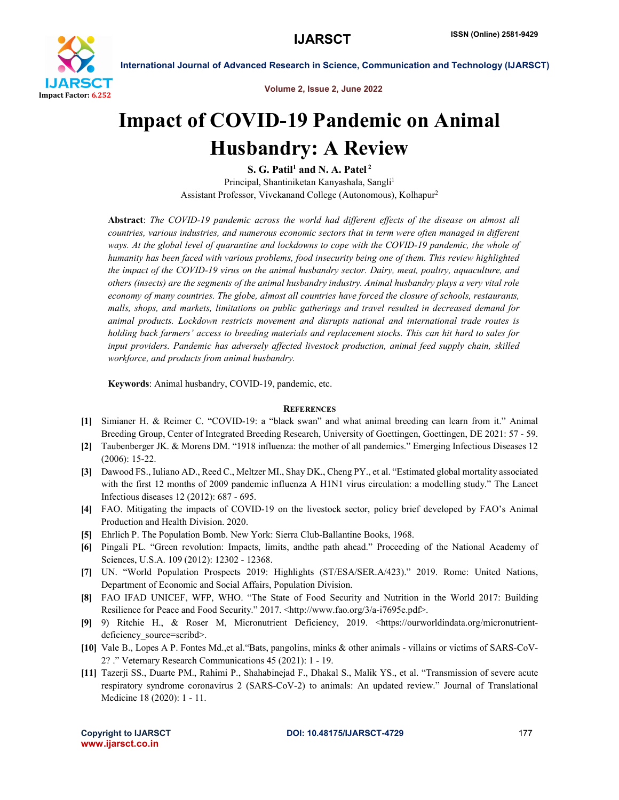

Volume 2, Issue 2, June 2022

# Impact of COVID-19 Pandemic on Animal Husbandry: A Review

S. G. Patil<sup>1</sup> and N. A. Patel<sup>2</sup> Principal, Shantiniketan Kanyashala, Sangli<sup>1</sup> Assistant Professor, Vivekanand College (Autonomous), Kolhapur2

Abstract: *The COVID-19 pandemic across the world had different effects of the disease on almost all countries, various industries, and numerous economic sectors that in term were often managed in different ways. At the global level of quarantine and lockdowns to cope with the COVID-19 pandemic, the whole of humanity has been faced with various problems, food insecurity being one of them. This review highlighted the impact of the COVID-19 virus on the animal husbandry sector. Dairy, meat, poultry, aquaculture, and others (insects) are the segments of the animal husbandry industry. Animal husbandry plays a very vital role economy of many countries. The globe, almost all countries have forced the closure of schools, restaurants, malls, shops, and markets, limitations on public gatherings and travel resulted in decreased demand for animal products. Lockdown restricts movement and disrupts national and international trade routes is holding back farmers' access to breeding materials and replacement stocks. This can hit hard to sales for input providers. Pandemic has adversely affected livestock production, animal feed supply chain, skilled workforce, and products from animal husbandry.*

Keywords: Animal husbandry, COVID-19, pandemic, etc.

# **REFERENCES**

- [1] Simianer H. & Reimer C. "COVID-19: a "black swan" and what animal breeding can learn from it." Animal Breeding Group, Center of Integrated Breeding Research, University of Goettingen, Goettingen, DE 2021: 57 - 59.
- [2] Taubenberger JK. & Morens DM. "1918 influenza: the mother of all pandemics." Emerging Infectious Diseases 12 (2006): 15-22.
- [3] Dawood FS., Iuliano AD., Reed C., Meltzer MI., Shay DK., Cheng PY., et al. "Estimated global mortality associated with the first 12 months of 2009 pandemic influenza A H1N1 virus circulation: a modelling study." The Lancet Infectious diseases 12 (2012): 687 - 695.
- [4] FAO. Mitigating the impacts of COVID-19 on the livestock sector, policy brief developed by FAO's Animal Production and Health Division. 2020.
- [5] Ehrlich P. The Population Bomb. New York: Sierra Club-Ballantine Books, 1968.
- [6] Pingali PL. "Green revolution: Impacts, limits, andthe path ahead." Proceeding of the National Academy of Sciences, U.S.A. 109 (2012): 12302 - 12368.
- [7] UN. "World Population Prospects 2019: Highlights (ST/ESA/SER.A/423)." 2019. Rome: United Nations, Department of Economic and Social Affairs, Population Division.
- [8] FAO IFAD UNICEF, WFP, WHO. "The State of Food Security and Nutrition in the World 2017: Building Resilience for Peace and Food Security." 2017. <http://www.fao.org/3/a-i7695e.pdf>.
- [9] 9) Ritchie H., & Roser M, Micronutrient Deficiency, 2019. <https://ourworldindata.org/micronutrientdeficiency source=scribd>.
- [10] Vale B., Lopes A P. Fontes Md.,et al."Bats, pangolins, minks & other animals villains or victims of SARS-CoV-2? ." Veternary Research Communications 45 (2021): 1 - 19.
- [11] Tazerji SS., Duarte PM., Rahimi P., Shahabinejad F., Dhakal S., Malik YS., et al. "Transmission of severe acute respiratory syndrome coronavirus 2 (SARS-CoV-2) to animals: An updated review." Journal of Translational Medicine 18 (2020): 1 - 11.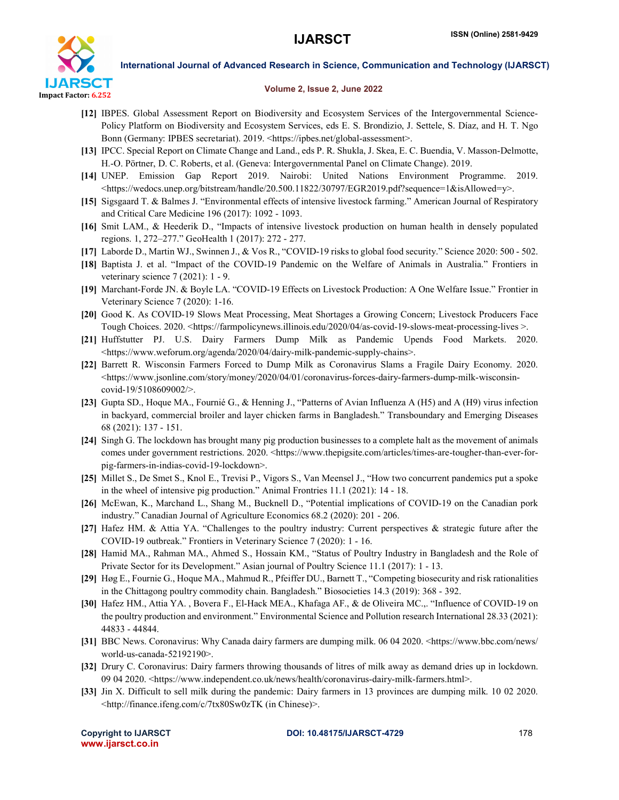

### Volume 2, Issue 2, June 2022

- [12] IBPES. Global Assessment Report on Biodiversity and Ecosystem Services of the Intergovernmental Science-Policy Platform on Biodiversity and Ecosystem Services, eds E. S. Brondizio, J. Settele, S. Díaz, and H. T. Ngo Bonn (Germany: IPBES secretariat). 2019. <https://ipbes.net/global-assessment>.
- [13] IPCC. Special Report on Climate Change and Land., eds P. R. Shukla, J. Skea, E. C. Buendia, V. Masson-Delmotte, H.-O. Pörtner, D. C. Roberts, et al. (Geneva: Intergovernmental Panel on Climate Change). 2019.
- [14] UNEP. Emission Gap Report 2019. Nairobi: United Nations Environment Programme. 2019. <https://wedocs.unep.org/bitstream/handle/20.500.11822/30797/EGR2019.pdf?sequence=1&isAllowed=y>.
- [15] Sigsgaard T. & Balmes J. "Environmental effects of intensive livestock farming." American Journal of Respiratory and Critical Care Medicine 196 (2017): 1092 - 1093.
- [16] Smit LAM., & Heederik D., "Impacts of intensive livestock production on human health in densely populated regions. 1, 272–277." GeoHealth 1 (2017): 272 - 277.
- [17] Laborde D., Martin WJ., Swinnen J., & Vos R., "COVID-19 risks to global food security." Science 2020: 500 502.
- [18] Baptista J. et al. "Impact of the COVID-19 Pandemic on the Welfare of Animals in Australia." Frontiers in veterinary science 7 (2021): 1 - 9.
- [19] Marchant-Forde JN. & Boyle LA. "COVID-19 Effects on Livestock Production: A One Welfare Issue." Frontier in Veterinary Science 7 (2020): 1-16.
- [20] Good K. As COVID-19 Slows Meat Processing, Meat Shortages a Growing Concern; Livestock Producers Face Tough Choices. 2020. <https://farmpolicynews.illinois.edu/2020/04/as-covid-19-slows-meat-processing-lives >.
- [21] Huffstutter PJ. U.S. Dairy Farmers Dump Milk as Pandemic Upends Food Markets. 2020. <https://www.weforum.org/agenda/2020/04/dairy-milk-pandemic-supply-chains>.
- [22] Barrett R. Wisconsin Farmers Forced to Dump Milk as Coronavirus Slams a Fragile Dairy Economy. 2020.  $\lt$ https://www.jsonline.com/story/money/2020/04/01/coronavirus-forces-dairy-farmers-dump-milk-wisconsincovid-19/5108609002/>.
- [23] Gupta SD., Hoque MA., Fournié G., & Henning J., "Patterns of Avian Influenza A (H5) and A (H9) virus infection in backyard, commercial broiler and layer chicken farms in Bangladesh." Transboundary and Emerging Diseases 68 (2021): 137 - 151.
- [24] Singh G. The lockdown has brought many pig production businesses to a complete halt as the movement of animals comes under government restrictions. 2020. <https://www.thepigsite.com/articles/times-are-tougher-than-ever-forpig-farmers-in-indias-covid-19-lockdown>.
- [25] Millet S., De Smet S., Knol E., Trevisi P., Vigors S., Van Meensel J., "How two concurrent pandemics put a spoke in the wheel of intensive pig production." Animal Frontries 11.1 (2021): 14 - 18.
- [26] McEwan, K., Marchand L., Shang M., Bucknell D., "Potential implications of COVID-19 on the Canadian pork industry." Canadian Journal of Agriculture Economics 68.2 (2020): 201 - 206.
- [27] Hafez HM. & Attia YA. "Challenges to the poultry industry: Current perspectives & strategic future after the COVID-19 outbreak." Frontiers in Veterinary Science 7 (2020): 1 - 16.
- [28] Hamid MA., Rahman MA., Ahmed S., Hossain KM., "Status of Poultry Industry in Bangladesh and the Role of Private Sector for its Development." Asian journal of Poultry Science 11.1 (2017): 1 - 13.
- [29] Høg E., Fournie G., Hoque MA., Mahmud R., Pfeiffer DU., Barnett T., "Competing biosecurity and risk rationalities in the Chittagong poultry commodity chain. Bangladesh." Biosocieties 14.3 (2019): 368 - 392.
- [30] Hafez HM., Attia YA. , Bovera F., El-Hack MEA., Khafaga AF., & de Oliveira MC.,. "Influence of COVID-19 on the poultry production and environment." Environmental Science and Pollution research International 28.33 (2021): 44833 - 44844.
- [31] BBC News. Coronavirus: Why Canada dairy farmers are dumping milk. 06 04 2020. <https://www.bbc.com/news/ world-us-canada-52192190>.
- [32] Drury C. Coronavirus: Dairy farmers throwing thousands of litres of milk away as demand dries up in lockdown. 09 04 2020. <https://www.independent.co.uk/news/health/coronavirus-dairy-milk-farmers.html>.
- [33] Jin X. Difficult to sell milk during the pandemic: Dairy farmers in 13 provinces are dumping milk. 10 02 2020. <http://finance.ifeng.com/c/7tx80Sw0zTK (in Chinese)>.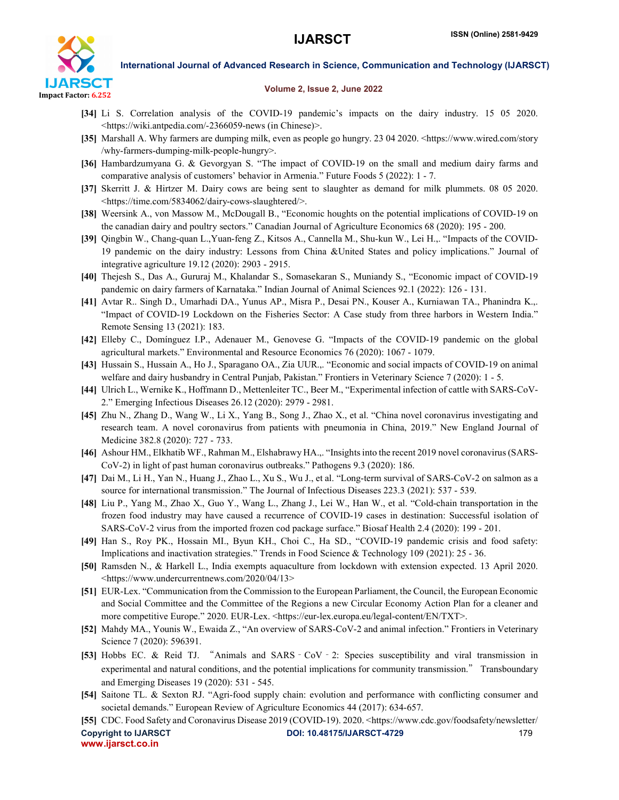

# Volume 2, Issue 2, June 2022

- [34] Li S. Correlation analysis of the COVID-19 pandemic's impacts on the dairy industry. 15 05 2020. <https://wiki.antpedia.com/-2366059-news (in Chinese)>.
- [35] Marshall A. Why farmers are dumping milk, even as people go hungry. 23 04 2020. <https://www.wired.com/story /why-farmers-dumping-milk-people-hungry>.
- [36] Hambardzumyana G. & Gevorgyan S. "The impact of COVID-19 on the small and medium dairy farms and comparative analysis of customers' behavior in Armenia." Future Foods 5 (2022): 1 - 7.
- [37] Skerritt J. & Hirtzer M. Dairy cows are being sent to slaughter as demand for milk plummets. 08 05 2020. <https://time.com/5834062/dairy-cows-slaughtered/>.
- [38] Weersink A., von Massow M., McDougall B., "Economic houghts on the potential implications of COVID-19 on the canadian dairy and poultry sectors." Canadian Journal of Agriculture Economics 68 (2020): 195 - 200.
- [39] Qingbin W., Chang-quan L.,Yuan-feng Z., Kitsos A., Cannella M., Shu-kun W., Lei H.,. "Impacts of the COVID-19 pandemic on the dairy industry: Lessons from China &United States and policy implications." Journal of integrative agriculture 19.12 (2020): 2903 - 2915.
- [40] Thejesh S., Das A., Gururaj M., Khalandar S., Somasekaran S., Muniandy S., "Economic impact of COVID-19 pandemic on dairy farmers of Karnataka." Indian Journal of Animal Sciences 92.1 (2022): 126 - 131.
- [41] Avtar R.. Singh D., Umarhadi DA., Yunus AP., Misra P., Desai PN., Kouser A., Kurniawan TA., Phanindra K.,. "Impact of COVID-19 Lockdown on the Fisheries Sector: A Case study from three harbors in Western India." Remote Sensing 13 (2021): 183.
- [42] Elleby C., Domínguez I.P., Adenauer M., Genovese G. "Impacts of the COVID-19 pandemic on the global agricultural markets." Environmental and Resource Economics 76 (2020): 1067 - 1079.
- [43] Hussain S., Hussain A., Ho J., Sparagano OA., Zia UUR.,. "Economic and social impacts of COVID-19 on animal welfare and dairy husbandry in Central Punjab, Pakistan." Frontiers in Veterinary Science 7 (2020): 1 - 5.
- [44] Ulrich L., Wernike K., Hoffmann D., Mettenleiter TC., Beer M., "Experimental infection of cattle with SARS-CoV-2." Emerging Infectious Diseases 26.12 (2020): 2979 - 2981.
- [45] Zhu N., Zhang D., Wang W., Li X., Yang B., Song J., Zhao X., et al. "China novel coronavirus investigating and research team. A novel coronavirus from patients with pneumonia in China, 2019." New England Journal of Medicine 382.8 (2020): 727 - 733.
- [46] Ashour HM., Elkhatib WF., Rahman M., Elshabrawy HA.,. "Insights into the recent 2019 novel coronavirus (SARS-CoV-2) in light of past human coronavirus outbreaks." Pathogens 9.3 (2020): 186.
- [47] Dai M., Li H., Yan N., Huang J., Zhao L., Xu S., Wu J., et al. "Long-term survival of SARS-CoV-2 on salmon as a source for international transmission." The Journal of Infectious Diseases 223.3 (2021): 537 - 539.
- [48] Liu P., Yang M., Zhao X., Guo Y., Wang L., Zhang J., Lei W., Han W., et al. "Cold-chain transportation in the frozen food industry may have caused a recurrence of COVID-19 cases in destination: Successful isolation of SARS-CoV-2 virus from the imported frozen cod package surface." Biosaf Health 2.4 (2020): 199 - 201.
- [49] Han S., Roy PK., Hossain MI., Byun KH., Choi C., Ha SD., "COVID-19 pandemic crisis and food safety: Implications and inactivation strategies." Trends in Food Science & Technology 109 (2021): 25 - 36.
- [50] Ramsden N., & Harkell L., India exempts aquaculture from lockdown with extension expected. 13 April 2020. <https://www.undercurrentnews.com/2020/04/13>
- [51] EUR-Lex. "Communication from the Commission to the European Parliament, the Council, the European Economic and Social Committee and the Committee of the Regions a new Circular Economy Action Plan for a cleaner and more competitive Europe." 2020. EUR-Lex. <https://eur-lex.europa.eu/legal-content/EN/TXT>.
- [52] Mahdy MA., Younis W., Ewaida Z., "An overview of SARS-CoV-2 and animal infection." Frontiers in Veterinary Science 7 (2020): 596391.
- [53] Hobbs EC. & Reid TJ. "Animals and SARS‐CoV‐2: Species susceptibility and viral transmission in experimental and natural conditions, and the potential implications for community transmission." Transboundary and Emerging Diseases 19 (2020): 531 - 545.
- [54] Saitone TL. & Sexton RJ. "Agri-food supply chain: evolution and performance with conflicting consumer and societal demands." European Review of Agriculture Economics 44 (2017): 634-657.
- [55] CDC. Food Safety and Coronavirus Disease 2019 (COVID-19). 2020. <https://www.cdc.gov/foodsafety/newsletter/

www.ijarsct.co.in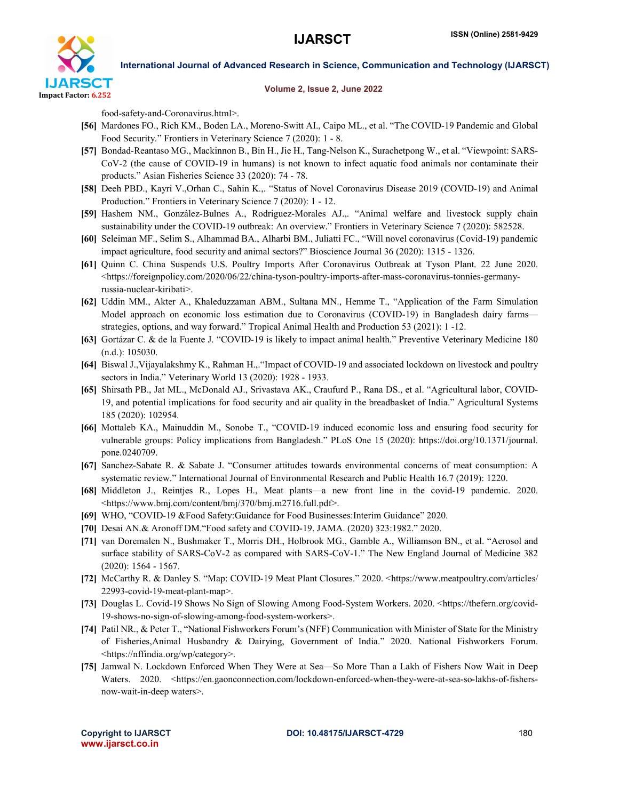

### Volume 2, Issue 2, June 2022

food-safety-and-Coronavirus.html>.

- [56] Mardones FO., Rich KM., Boden LA., Moreno-Switt AI., Caipo ML., et al. "The COVID-19 Pandemic and Global Food Security." Frontiers in Veterinary Science 7 (2020): 1 - 8.
- [57] Bondad-Reantaso MG., Mackinnon B., Bin H., Jie H., Tang-Nelson K., Surachetpong W., et al. "Viewpoint: SARS-CoV-2 (the cause of COVID-19 in humans) is not known to infect aquatic food animals nor contaminate their products." Asian Fisheries Science 33 (2020): 74 - 78.
- [58] Deeh PBD., Kayri V.,Orhan C., Sahin K.,. "Status of Novel Coronavirus Disease 2019 (COVID-19) and Animal Production." Frontiers in Veterinary Science 7 (2020): 1 - 12.
- [59] Hashem NM., González-Bulnes A., Rodriguez-Morales AJ.,. "Animal welfare and livestock supply chain sustainability under the COVID-19 outbreak: An overview." Frontiers in Veterinary Science 7 (2020): 582528.
- [60] Seleiman MF., Selim S., Alhammad BA., Alharbi BM., Juliatti FC., "Will novel coronavirus (Covid-19) pandemic impact agriculture, food security and animal sectors?" Bioscience Journal 36 (2020): 1315 - 1326.
- [61] Quinn C. China Suspends U.S. Poultry Imports After Coronavirus Outbreak at Tyson Plant. 22 June 2020.  $\lt$ https://foreignpolicy.com/2020/06/22/china-tyson-poultry-imports-after-mass-coronavirus-tonnies-germanyrussia-nuclear-kiribati>.
- [62] Uddin MM., Akter A., Khaleduzzaman ABM., Sultana MN., Hemme T., "Application of the Farm Simulation Model approach on economic loss estimation due to Coronavirus (COVID-19) in Bangladesh dairy farms strategies, options, and way forward." Tropical Animal Health and Production 53 (2021): 1 -12.
- [63] Gortázar C. & de la Fuente J. "COVID-19 is likely to impact animal health." Preventive Veterinary Medicine 180 (n.d.): 105030.
- [64] Biswal J.,Vijayalakshmy K., Rahman H.,."Impact of COVID-19 and associated lockdown on livestock and poultry sectors in India." Veterinary World 13 (2020): 1928 - 1933.
- [65] Shirsath PB., Jat ML., McDonald AJ., Srivastava AK., Craufurd P., Rana DS., et al. "Agricultural labor, COVID-19, and potential implications for food security and air quality in the breadbasket of India." Agricultural Systems 185 (2020): 102954.
- [66] Mottaleb KA., Mainuddin M., Sonobe T., "COVID-19 induced economic loss and ensuring food security for vulnerable groups: Policy implications from Bangladesh." PLoS One 15 (2020): https://doi.org/10.1371/journal. pone.0240709.
- [67] Sanchez-Sabate R. & Sabate J. "Consumer attitudes towards environmental concerns of meat consumption: A systematic review." International Journal of Environmental Research and Public Health 16.7 (2019): 1220.
- [68] Middleton J., Reintjes R., Lopes H., Meat plants—a new front line in the covid-19 pandemic. 2020. <https://www.bmj.com/content/bmj/370/bmj.m2716.full.pdf>.
- [69] WHO, "COVID-19 &Food Safety:Guidance for Food Businesses:Interim Guidance" 2020.
- [70] Desai AN.& Aronoff DM."Food safety and COVID-19. JAMA. (2020) 323:1982." 2020.
- [71] van Doremalen N., Bushmaker T., Morris DH., Holbrook MG., Gamble A., Williamson BN., et al. "Aerosol and surface stability of SARS-CoV-2 as compared with SARS-CoV-1." The New England Journal of Medicine 382 (2020): 1564 - 1567.
- [72] McCarthy R. & Danley S. "Map: COVID-19 Meat Plant Closures." 2020. <https://www.meatpoultry.com/articles/ 22993-covid-19-meat-plant-map>.
- [73] Douglas L. Covid-19 Shows No Sign of Slowing Among Food-System Workers. 2020. <https://thefern.org/covid-19-shows-no-sign-of-slowing-among-food-system-workers>.
- [74] Patil NR., & Peter T., "National Fishworkers Forum's (NFF) Communication with Minister of State for the Ministry of Fisheries,Animal Husbandry & Dairying, Government of India." 2020. National Fishworkers Forum. <https://nffindia.org/wp/category>.
- [75] Jamwal N. Lockdown Enforced When They Were at Sea—So More Than a Lakh of Fishers Now Wait in Deep Waters. 2020. <https://en.gaonconnection.com/lockdown-enforced-when-they-were-at-sea-so-lakhs-of-fishersnow-wait-in-deep waters>.